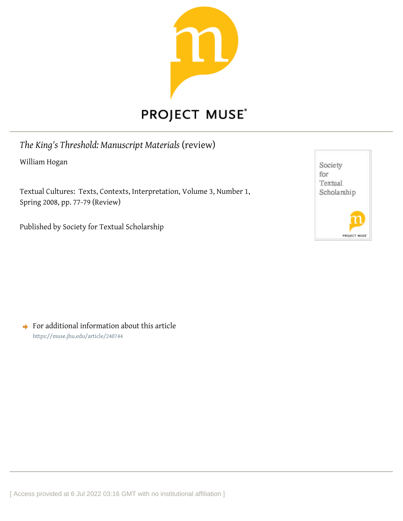

## **PROJECT MUSE®**

*The King's Threshold: Manuscript Materials* (review) William Hogan

Textual Cultures: Texts, Contexts, Interpretation, Volume 3, Number 1, Spring 2008, pp. 77-79 (Review)

Published by Society for Textual Scholarship



 $\rightarrow$  For additional information about this article <https://muse.jhu.edu/article/240744>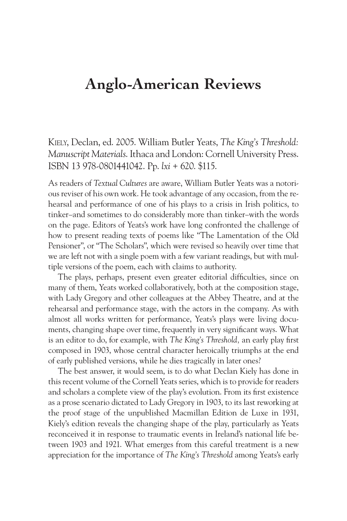## **Anglo-American Reviews**

Kiely, Declan, ed. 2005. William Butler Yeats, *The King's Threshold: Manuscript Materials*. Ithaca and London: Cornell University Press. ISBN 13 978-0801441042. Pp. *lxi* + 620. \$115.

As readers of *Textual Cultures* are aware, William Butler Yeats was a notorious reviser of his own work. He took advantage of any occasion, from the rehearsal and performance of one of his plays to a crisis in Irish politics, to tinker–and sometimes to do considerably more than tinker–with the words on the page. Editors of Yeats's work have long confronted the challenge of how to present reading texts of poems like "The Lamentation of the Old Pensioner", or "The Scholars", which were revised so heavily over time that we are left not with a single poem with a few variant readings, but with multiple versions of the poem, each with claims to authority.

The plays, perhaps, present even greater editorial difficulties, since on many of them, Yeats worked collaboratively, both at the composition stage, with Lady Gregory and other colleagues at the Abbey Theatre, and at the rehearsal and performance stage, with the actors in the company. As with almost all works written for performance, Yeats's plays were living documents, changing shape over time, frequently in very significant ways. What is an editor to do, for example, with *The King's Threshold,* an early play first composed in 1903, whose central character heroically triumphs at the end of early published versions, while he dies tragically in later ones?

The best answer, it would seem, is to do what Declan Kiely has done in this recent volume of the Cornell Yeats series, which is to provide for readers and scholars a complete view of the play's evolution. From its first existence as a prose scenario dictated to Lady Gregory in 1903, to its last reworking at the proof stage of the unpublished Macmillan Edition de Luxe in 1931, Kiely's edition reveals the changing shape of the play, particularly as Yeats reconceived it in response to traumatic events in Ireland's national life between 1903 and 1921. What emerges from this careful treatment is a new appreciation for the importance of *The King's Threshold* among Yeats's early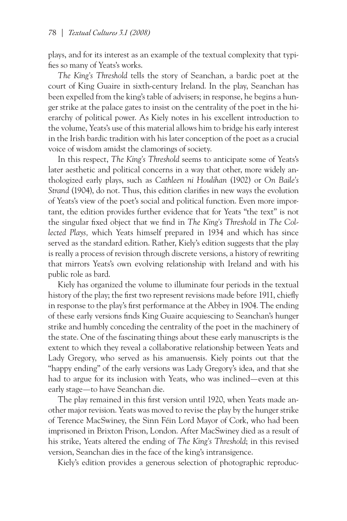plays, and for its interest as an example of the textual complexity that typifies so many of Yeats's works.

*The King's Threshold* tells the story of Seanchan, a bardic poet at the court of King Guaire in sixth-century Ireland. In the play, Seanchan has been expelled from the king's table of advisers; in response, he begins a hunger strike at the palace gates to insist on the centrality of the poet in the hierarchy of political power. As Kiely notes in his excellent introduction to the volume, Yeats's use of this material allows him to bridge his early interest in the Irish bardic tradition with his later conception of the poet as a crucial voice of wisdom amidst the clamorings of society.

In this respect, *The King's Threshold* seems to anticipate some of Yeats's later aesthetic and political concerns in a way that other, more widely anthologized early plays, such as *Cathleen ni Houlihan* (1902) or *On Baile's Strand* (1904), do not. Thus, this edition clarifies in new ways the evolution of Yeats's view of the poet's social and political function. Even more important, the edition provides further evidence that for Yeats "the text" is not the singular fixed object that we find in *The King's Threshold* in *The Collected Plays,* which Yeats himself prepared in 1934 and which has since served as the standard edition. Rather, Kiely's edition suggests that the play is really a process of revision through discrete versions, a history of rewriting that mirrors Yeats's own evolving relationship with Ireland and with his public role as bard.

Kiely has organized the volume to illuminate four periods in the textual history of the play; the first two represent revisions made before 1911, chiefly in response to the play's first performance at the Abbey in 1904. The ending of these early versions finds King Guaire acquiescing to Seanchan's hunger strike and humbly conceding the centrality of the poet in the machinery of the state. One of the fascinating things about these early manuscripts is the extent to which they reveal a collaborative relationship between Yeats and Lady Gregory, who served as his amanuensis. Kiely points out that the "happy ending" of the early versions was Lady Gregory's idea, and that she had to argue for its inclusion with Yeats, who was inclined—even at this early stage—to have Seanchan die.

The play remained in this first version until 1920, when Yeats made another major revision. Yeats was moved to revise the play by the hunger strike of Terence MacSwiney, the Sinn Féin Lord Mayor of Cork, who had been imprisoned in Brixton Prison, London. After MacSwiney died as a result of his strike, Yeats altered the ending of *The King's Threshold*; in this revised version, Seanchan dies in the face of the king's intransigence.

Kiely's edition provides a generous selection of photographic reproduc-